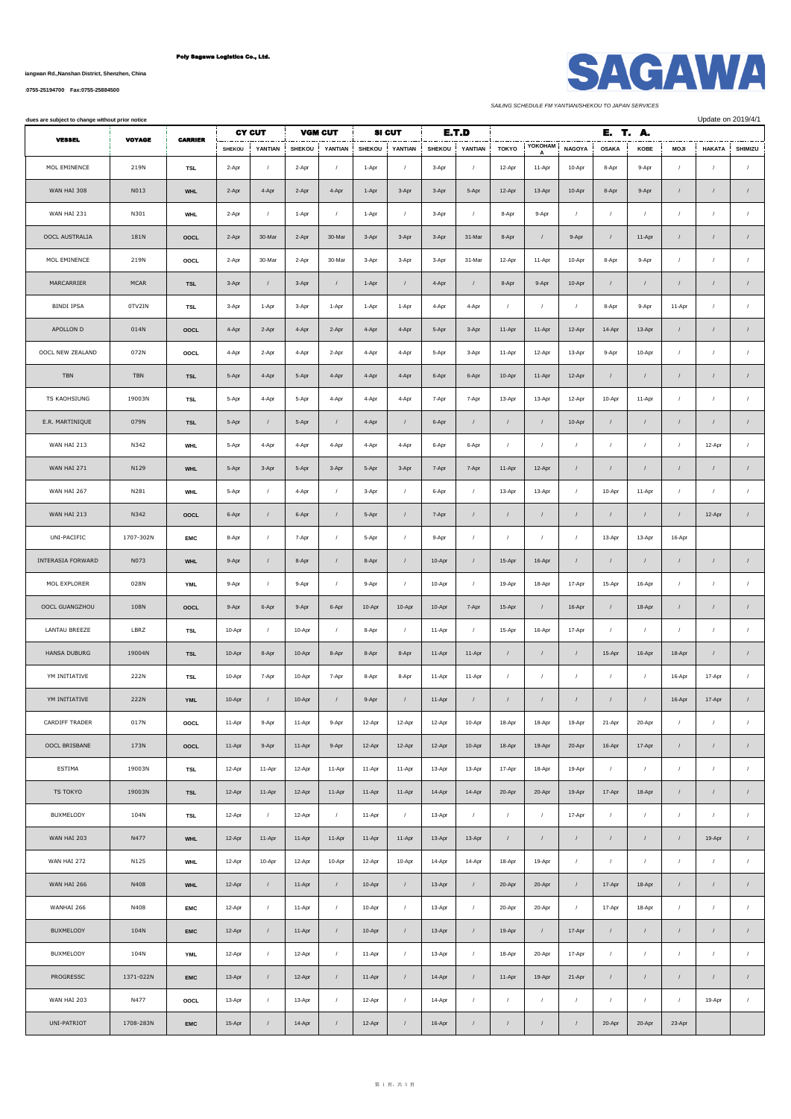# Poly Sagawa Logistics Co., Ltd.

**No.1007, Yueliangwan Rd.,Nanshan District, Shenzhen, China**

**[Tel:0755-25194700 Fax:0755-25884500](tel:0755-25194700    Fax:0755-25884500)**

*SAILING SCHEDULE FM YANTIAN/SHEKOU TO JAPAN SERVICES*

 $\blacksquare$ 

 $\blacksquare$ 

| dues are subject to change without prior notice |               |                       |                        |                       |                        |              |                        |                     |                        |                       |                        |            |                         | Update on 2019/4/1    |                  |                         |                           |                       |  |
|-------------------------------------------------|---------------|-----------------------|------------------------|-----------------------|------------------------|--------------|------------------------|---------------------|------------------------|-----------------------|------------------------|------------|-------------------------|-----------------------|------------------|-------------------------|---------------------------|-----------------------|--|
| <b>VESSEL</b>                                   | <b>VOYAGE</b> | <b><i>CARRIER</i></b> | <b>CY CUT</b>          |                       | <b>VGM CUT</b>         |              | <b>SI CUT</b>          |                     | E.T.D                  |                       | YOKOHAM                |            |                         | Е.<br>T. A.           |                  |                         |                           |                       |  |
| MOL EMINENCE                                    | 219N          | TSL                   | <b>SHEKOU</b><br>2-Apr | YANTIAN<br>$\sqrt{ }$ | <b>SHEKOU</b><br>2-Apr | YANTIAN<br>1 | <b>SHEKOU</b><br>1-Apr | YANTIAN<br>$\prime$ | <b>SHEKOU</b><br>3-Apr | YANTIAN<br>$\sqrt{2}$ | <b>TOKYO</b><br>12-Apr | 11-Apr     | <b>NAGOYA</b><br>10-Apr | <b>OSAKA</b><br>8-Apr | KOBE<br>9-Apr    | <b>MOJI</b><br>$\prime$ | <b>HAKATA</b><br>$\prime$ | SHIMIZU<br>$\sqrt{2}$ |  |
|                                                 |               |                       |                        |                       |                        |              |                        |                     |                        |                       |                        |            |                         |                       |                  |                         |                           |                       |  |
| WAN HAI 308                                     | N013          | <b>WHL</b>            | 2-Apr                  | 4-Apr                 | 2-Apr                  | 4-Apr        | 1-Apr                  | 3-Apr               | 3-Apr                  | 5-Apr                 | 12-Apr                 | 13-Apr     | 10-Apr                  | 8-Apr                 | 9-Apr            | $\prime$                | $\prime$                  | $\sqrt{ }$            |  |
| WAN HAI 231                                     | N301          | <b>WHL</b>            | 2-Apr                  | $\sqrt{ }$            | 1-Apr                  | $\sqrt{2}$   | 1-Apr                  | $\prime$            | 3-Apr                  | $\prime$              | 8-Apr                  | 9-Apr      | $\sqrt{ }$              | $\prime$              | $\prime$         | $\sqrt{ }$              |                           | $\sqrt{2}$            |  |
| OOCL AUSTRALIA                                  | 181N          | OOCL                  | 2-Apr                  | 30-Mar                | 2-Apr                  | 30-Mar       | 3-Apr                  | 3-Apr               | 3-Apr                  | 31-Mar                | 8-Apr                  | $\prime$   | 9-Apr                   | $\prime$              | 11-Apr           | $\prime$                | $\prime$                  |                       |  |
| MOL EMINENCE                                    | 219N          | OOCL                  | 2-Apr                  | 30-Mar                | 2-Apr                  | 30-Mar       | 3-Apr                  | 3-Apr               | 3-Apr                  | 31-Mar                | 12-Apr                 | 11-Apr     | 10-Apr                  | 8-Apr                 | 9-Apr            | $\sqrt{ }$              | $\prime$                  | $\prime$              |  |
| MARCARRIER                                      | <b>MCAR</b>   | <b>TSL</b>            | 3-Apr                  | $\sqrt{ }$            | 3-Apr                  | $\sqrt{ }$   | 1-Apr                  | $\sqrt{ }$          | 4-Apr                  | $\prime$              | 8-Apr                  | 9-Apr      | 10-Apr                  | $\sqrt{ }$            | $\sqrt{ }$       | $\sqrt{ }$              | $\prime$                  | $\sqrt{ }$            |  |
| <b>BINDI IPSA</b>                               | 0TV2IN        | <b>TSL</b>            | 3-Apr                  | 1-Apr                 | 3-Apr                  | 1-Apr        | 1-Apr                  | 1-Apr               | 4-Apr                  | 4-Apr                 | $\prime$               | $\sqrt{ }$ | $\sqrt{2}$              | 8-Apr                 | 9-Apr            | 11-Apr                  | $\sqrt{ }$                | $\sqrt{2}$            |  |
| APOLLON D                                       | 014N          | OOCL                  | 4-Apr                  | 2-Apr                 | 4-Apr                  | 2-Apr        | 4-Apr                  | 4-Apr               | 5-Apr                  | 3-Apr                 | 11-Apr                 | 11-Apr     | 12-Apr                  | 14-Apr                | 13-Apr           | $\sqrt{ }$              | $\sqrt{ }$                |                       |  |
| OOCL NEW ZEALAND                                | 072N          | OOCL                  | 4-Apr                  | 2-Apr                 | 4-Apr                  | 2-Apr        | 4-Apr                  | 4-Apr               | 5-Apr                  | 3-Apr                 | 11-Apr                 | 12-Apr     | 13-Apr                  | 9-Apr                 | 10-Apr           | $\prime$                | $\prime$                  | $\sqrt{2}$            |  |
| <b>TBN</b>                                      | TBN           | <b>TSL</b>            | 5-Apr                  | 4-Apr                 | 5-Apr                  | 4-Apr        | 4-Apr                  | 4-Apr               | 6-Apr                  | 6-Apr                 | 10-Apr                 | 11-Apr     | 12-Apr                  | $\sqrt{ }$            | $\prime$         | $\prime$                | $\prime$                  | $\sqrt{ }$            |  |
| TS KAOHSIUNG                                    | 19003N        | TSL                   | 5-Apr                  | 4-Apr                 | 5-Apr                  | 4-Apr        | 4-Apr                  | 4-Apr               | 7-Apr                  | 7-Apr                 | 13-Apr                 | 13-Apr     | 12-Apr                  | 10-Apr                | 11-Apr           | $\prime$                | $\prime$                  | $\sqrt{2}$            |  |
| E.R. MARTINIQUE                                 | 079N          | <b>TSL</b>            | 5-Apr                  | $\prime$              | 5-Apr                  | $\sqrt{ }$   | 4-Apr                  | $\sqrt{ }$          | 6-Apr                  | $\prime$              | $\sqrt{2}$             | $\sqrt{2}$ | 10-Apr                  | $\prime$              | $\sqrt{ }$       | $\prime$                | $\prime$                  | $\sqrt{ }$            |  |
| WAN HAI 213                                     | N342          | <b>WHL</b>            | 5-Apr                  | 4-Apr                 | 4-Apr                  | 4-Apr        | 4-Apr                  | 4-Apr               | 6-Apr                  | 6-Apr                 | $\sqrt{2}$             | $\sqrt{ }$ | $\sqrt{ }$              | $\prime$              | $\prime$         | $\prime$                | 12-Apr                    | $\sqrt{2}$            |  |
| WAN HAI 271                                     | N129          | <b>WHL</b>            | 5-Apr                  | 3-Apr                 | 5-Apr                  | 3-Apr        | 5-Apr                  | 3-Apr               | 7-Apr                  | 7-Apr                 | 11-Apr                 | 12-Apr     | $\sqrt{ }$              | $\prime$              | $\prime$         | $\prime$                | $\prime$                  |                       |  |
| WAN HAI 267                                     | N281          | <b>WHL</b>            | 5-Apr                  | $\sqrt{ }$            | 4-Apr                  | $\sqrt{ }$   | 3-Apr                  | $\sqrt{ }$          | 6-Apr                  | $\sqrt{ }$            | 13-Apr                 | 13-Apr     | $\sqrt{2}$              | 10-Apr                | 11-Apr           | $\sqrt{ }$              |                           | $\sqrt{2}$            |  |
| WAN HAI 213                                     | N342          | OOCL                  | 6-Apr                  | $\sqrt{ }$            | 6-Apr                  | $\cal I$     | 5-Apr                  | $\sqrt{ }$          | 7-Apr                  | $\sqrt{ }$            | $\sqrt{2}$             | $\sqrt{2}$ | $\sqrt{2}$              | $\sqrt{ }$            | $\sqrt{ }$       | $\sqrt{ }$              | 12-Apr                    | $\sqrt{2}$            |  |
| UNI-PACIFIC                                     | 1707-302N     | <b>EMC</b>            | 8-Apr                  | $\sqrt{ }$            | 7-Apr                  | $\sqrt{ }$   | 5-Apr                  | $\sqrt{ }$          | 9-Apr                  | $\prime$              | $\sqrt{2}$             | $\sqrt{ }$ | $\boldsymbol{I}$        | 13-Apr                | 13-Apr           | 16-Apr                  |                           |                       |  |
| INTERASIA FORWARD                               | N073          | <b>WHL</b>            | 9-Apr                  | $\sqrt{ }$            | 8-Apr                  | $\sqrt{2}$   | 8-Apr                  | $\sqrt{ }$          | 10-Apr                 | $\prime$              | 15-Apr                 | 16-Apr     | $\sqrt{2}$              | $\sqrt{ }$            | $\sqrt{ }$       | $\prime$                | $\prime$                  |                       |  |
| MOL EXPLORER                                    | 028N          | <b>YML</b>            | 9-Apr                  | $\sqrt{ }$            | 9-Apr                  | $\prime$     | 9-Apr                  | $\prime$            | 10-Apr                 | $\prime$              | 19-Apr                 | 18-Apr     | 17-Apr                  | 15-Apr                | 16-Apr           | $\prime$                | $\prime$                  | $\prime$              |  |
| OOCL GUANGZHOU                                  | 108N          | <b>OOCL</b>           | 9-Apr                  | 6-Apr                 | 9-Apr                  | 6-Apr        | 10-Apr                 | 10-Apr              | 10-Apr                 | 7-Apr                 | 15-Apr                 | $\prime$   | 16-Apr                  | $\prime$              | 18-Apr           | $\prime$                | $\prime$                  | $\sqrt{ }$            |  |
| LANTAU BREEZE                                   | LBRZ          | TSL                   | 10-Apr                 | $\sqrt{ }$            | 10-Apr                 | $\sqrt{ }$   | 8-Apr                  | $\sqrt{2}$          | 11-Apr                 | $\sqrt{2}$            | 15-Apr                 | 16-Apr     | 17-Apr                  | $\prime$              | 1                | $\prime$                | $\prime$                  | $\sqrt{ }$            |  |
| <b>HANSA DUBURG</b>                             | 19004N        | <b>TSL</b>            | 10-Apr                 | 8-Apr                 | 10-Apr                 | 8-Apr        | 8-Apr                  | 8-Apr               | 11-Apr                 | 11-Apr                | $\sqrt{2}$             | $\sqrt{2}$ | $\sqrt{2}$              | 15-Apr                | 16-Apr           | 18-Apr                  | $\prime$                  | $\prime$              |  |
| YM INITIATIVE                                   | 222N          | TSL                   | 10-Apr                 | 7-Apr                 | 10-Apr                 | 7-Apr        | 8-Apr                  | 8-Apr               | 11-Apr                 | 11-Apr                | $\sqrt{2}$             | $\sqrt{ }$ | $\cal I$                | $\cal I$              | $\sqrt{ }$       | 16-Apr                  | 17-Apr                    | $\sqrt{ }$            |  |
| YM INITIATIVE                                   | 222N          | <b>YML</b>            | 10-Apr                 |                       | 10-Apr                 |              | 9-Apr                  |                     | 11-Apr                 |                       |                        |            |                         |                       |                  | 16-Apr                  | 17-Apr                    |                       |  |
| CARDIFF TRADER                                  | 017N          | OOCL                  | 11-Apr                 | 9-Apr                 | 11-Apr                 | 9-Apr        | 12-Apr                 | 12-Apr              | 12-Apr                 | 10-Apr                | 18-Apr                 | 18-Apr     | 19-Apr                  | 21-Apr                | 20-Apr           | $\sqrt{ }$              | $\sqrt{2}$                | $\sqrt{2}$            |  |
| OOCL BRISBANE                                   | 173N          | OOCL                  | 11-Apr                 | 9-Apr                 | 11-Apr                 | 9-Apr        | 12-Apr                 | 12-Apr              | 12-Apr                 | 10-Apr                | 18-Apr                 | 19-Apr     | 20-Apr                  | 16-Apr                | 17-Apr           | $\prime$                | $\sqrt{ }$                | $\sqrt{2}$            |  |
| ESTIMA                                          | 19003N        | TSL                   | 12-Apr                 | 11-Apr                | 12-Apr                 | 11-Apr       | 11-Apr                 | 11-Apr              | 13-Apr                 | 13-Apr                | 17-Apr                 | 18-Apr     | 19-Apr                  | $\boldsymbol{I}$      | $\boldsymbol{I}$ | $\prime$                | $\sqrt{ }$                | $\cal I$              |  |
| TS TOKYO                                        | 19003N        | <b>TSL</b>            | 12-Apr                 | 11-Apr                | 12-Apr                 | 11-Apr       | 11-Apr                 | 11-Apr              | 14-Apr                 | 14-Apr                | 20-Apr                 | 20-Apr     | 19-Apr                  | 17-Apr                | 18-Apr           | $\prime$                | $\sqrt{ }$                | $\sqrt{2}$            |  |
| BUXMELODY                                       | 104N          | TSL                   | 12-Apr                 | $\sqrt{ }$            | 12-Apr                 | $\cal I$     | 11-Apr                 | $\prime$            | 13-Apr                 | $\sqrt{ }$            | $\sqrt{2}$             | $\sqrt{ }$ | 17-Apr                  | $\cal I$              | $\sqrt{2}$       | $\prime$                | $\sqrt{ }$                | $\sqrt{2}$            |  |
| WAN HAI 203                                     | N477          | <b>WHL</b>            | 12-Apr                 | 11-Apr                | 11-Apr                 | 11-Apr       | 11-Apr                 | 11-Apr              | 13-Apr                 | 13-Apr                | $\prime$               | $\sqrt{ }$ | $\sqrt{2}$              | $\prime$              | $\prime$         | $\prime$                | 19-Apr                    | $\sqrt{2}$            |  |
| WAN HAI 272                                     | N125          | <b>WHL</b>            | 12-Apr                 | 10-Apr                | 12-Apr                 | 10-Apr       | 12-Apr                 | 10-Apr              | 14-Apr                 | 14-Apr                | 18-Apr                 | 19-Apr     | $\sqrt{2}$              | $\cal I$              | $\sqrt{ }$       | $\sqrt{2}$              | $\sqrt{ }$                | $\sqrt{2}$            |  |
| WAN HAI 266                                     | N408          | <b>WHL</b>            | 12-Apr                 | $\sqrt{2}$            | 11-Apr                 | $\sqrt{2}$   | 10-Apr                 | $\prime$            | 13-Apr                 | $\prime$              | 20-Apr                 | 20-Apr     | $\boldsymbol{I}$        | 17-Apr                | 18-Apr           | $\cal I$                | $\prime$                  | $\sqrt{2}$            |  |
| WANHAI 266                                      | N408          | <b>EMC</b>            | 12-Apr                 | $\prime$              | 11-Apr                 | $\sqrt{ }$   | 10-Apr                 | $\sqrt{2}$          | 13-Apr                 | $\sqrt{2}$            | 20-Apr                 | 20-Apr     | $\boldsymbol{I}$        | 17-Apr                | 18-Apr           | $\cal I$                | $\sqrt{ }$                | $\prime$              |  |
| BUXMELODY                                       | 104N          | <b>EMC</b>            | 12-Apr                 | $\sqrt{ }$            | 11-Apr                 | $\cal I$     | 10-Apr                 | $\prime$            | 13-Apr                 | $\prime$              | 19-Apr                 | $\sqrt{2}$ | 17-Apr                  | $\sqrt{ }$            | $\sqrt{ }$       | $\sqrt{ }$              | $\sqrt{ }$                | $\sqrt{2}$            |  |
| BUXMELODY                                       | 104N          | <b>YML</b>            | 12-Apr                 | $\cal I$              | 12-Apr                 | $\sqrt{ }$   | 11-Apr                 | $\sqrt{ }$          | 13-Apr                 | $\sqrt{ }$            | 18-Apr                 | 20-Apr     | 17-Apr                  | $\overline{1}$        | $\sqrt{ }$       | $\prime$                | $\sqrt{2}$                | $\sqrt{2}$            |  |
| PROGRESSC                                       | 1371-022N     | <b>EMC</b>            | 13-Apr                 | $\prime$              | 12-Apr                 | $\sqrt{ }$   | 11-Apr                 | $\prime$            | 14-Apr                 | $\prime$              | 11-Apr                 | 19-Apr     | 21-Apr                  | $\cal I$              | $\sqrt{ }$       | $\cal I$                | $\sqrt{ }$                | $\sqrt{2}$            |  |
| WAN HAI 203                                     | N477          | OOCL                  | 13-Apr                 | $\sqrt{ }$            | 13-Apr                 | $\cal I$     | 12-Apr                 | $\prime$            | 14-Apr                 | $\sqrt{2}$            | $\sqrt{ }$             | $\cal I$   | $\cal I$                | $\prime$              | $\prime$         | $\sqrt{ }$              | 19-Apr                    | $\boldsymbol{I}$      |  |
| UNI-PATRIOT                                     | 1708-283N     | <b>EMC</b>            | 15-Apr                 |                       | 14-Apr                 |              | 12-Apr                 |                     | 16-Apr                 |                       |                        |            |                         | 20-Apr                | 20-Apr           | 23-Apr                  |                           |                       |  |

 $\mathbf{I}$ 

 $\mathbf{I}$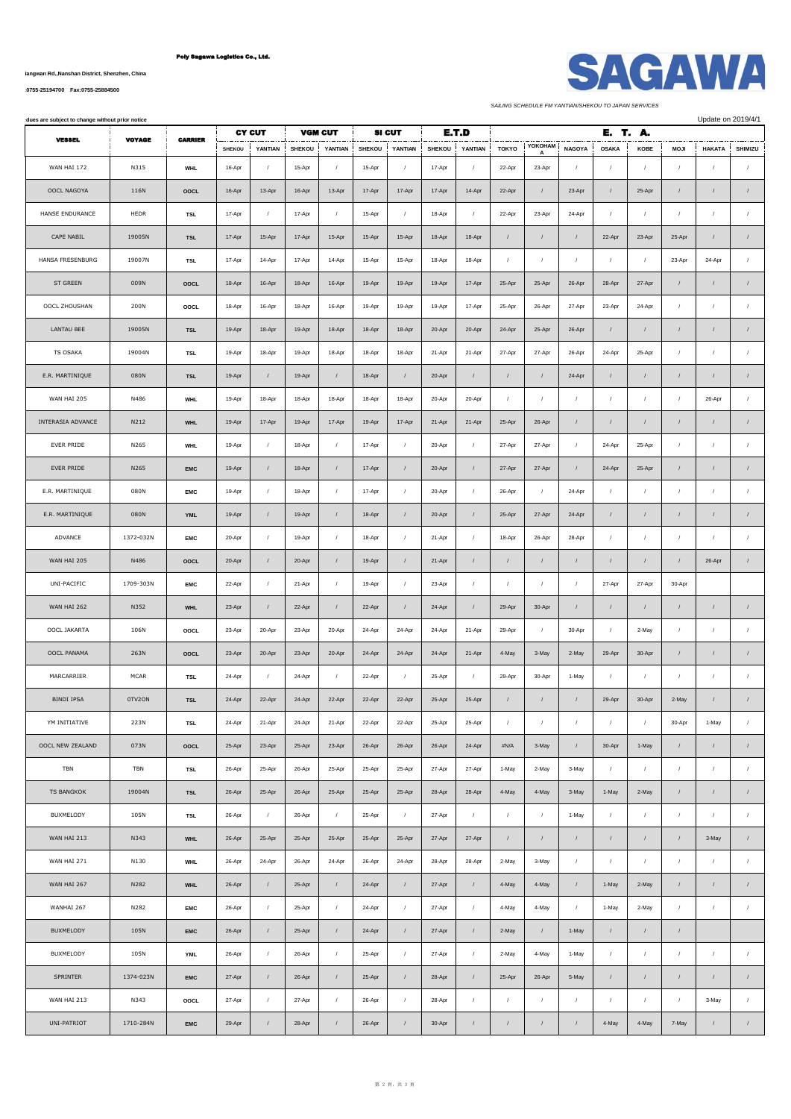## Poly Sagawa Logistics Co., Ltd.

**No.1007, Yueliangwan Rd.,Nanshan District, Shenzhen, China**

**[Tel:0755-25194700 Fax:0755-25884500](tel:0755-25194700    Fax:0755-25884500)**

| <b>SAGAWA</b> |  |
|---------------|--|
|               |  |

*SAILING SCHEDULE FM YANTIAN/SHEKOU TO JAPAN SERVICES*

| dues are subject to change without prior notice |               |                |               |                       |                |                  |               |                  |               |            |              |                  | Update on 2019/4/1 |                  |            |             |               |                  |
|-------------------------------------------------|---------------|----------------|---------------|-----------------------|----------------|------------------|---------------|------------------|---------------|------------|--------------|------------------|--------------------|------------------|------------|-------------|---------------|------------------|
| <b>VESSEL</b>                                   | <b>VOYAGE</b> | <b>CARRIER</b> |               | <b>CY CUT</b>         | <b>VGM CUT</b> | YANTIAN          |               | <b>SI CUT</b>    |               | E.T.D      |              | <b>YOKOHAM</b>   |                    | E. T. A.         |            |             |               |                  |
|                                                 |               |                | <b>SHEKOU</b> | YANTIAN<br>$\sqrt{ }$ | <b>SHEKOU</b>  |                  | <b>SHEKOU</b> | YANTIAN          | <b>SHEKOU</b> | YANTIAN    | <b>TOKYO</b> | A                | <b>NAGOYA</b>      | <b>OSAKA</b>     | KOBE       | <b>MOJI</b> | <b>HAKATA</b> | SHIMIZU          |
| WAN HAI 172                                     | N315          | <b>WHL</b>     | 16-Apr        |                       | 15-Apr         | $\sqrt{2}$       | 15-Apr        | $\sqrt{ }$       | 17-Apr        | $\prime$   | 22-Apr       | 23-Apr           | $\cal I$           | $\sqrt{ }$       | $\sqrt{ }$ | $\sqrt{2}$  | $\sqrt{2}$    | $\cal I$         |
| OOCL NAGOYA                                     | 116N          | OOCL           | 16-Apr        | 13-Apr                | 16-Apr         | 13-Apr           | 17-Apr        | 17-Apr           | 17-Apr        | 14-Apr     | 22-Apr       | $\sqrt{ }$       | 23-Apr             | $\sqrt{ }$       | 25-Apr     | $\sqrt{ }$  | $\prime$      | $\sqrt{2}$       |
| HANSE ENDURANCE                                 | HEDR          | TSL            | 17-Apr        | $\sqrt{2}$            | 17-Apr         | $\sqrt{ }$       | 15-Apr        | $\cal I$         | 18-Apr        | $\prime$   | 22-Apr       | 23-Apr           | 24-Apr             | $\cal I$         | $\sqrt{ }$ | $\sqrt{2}$  | $\prime$      | $\sqrt{ }$       |
| CAPE NABIL                                      | 19005N        | <b>TSL</b>     | 17-Apr        | 15-Apr                | 17-Apr         | 15-Apr           | 15-Apr        | 15-Apr           | 18-Apr        | 18-Apr     | $\prime$     | $\boldsymbol{I}$ | $\sqrt{2}$         | 22-Apr           | 23-Apr     | 25-Apr      | $\prime$      | $\boldsymbol{I}$ |
| HANSA FRESENBURG                                | 19007N        | <b>TSL</b>     | 17-Apr        | 14-Apr                | 17-Apr         | 14-Apr           | 15-Apr        | 15-Apr           | 18-Apr        | 18-Apr     | $\sqrt{ }$   | $\sqrt{2}$       | $\cal I$           | $\sqrt{ }$       | $\prime$   | 23-Apr      | 24-Apr        | $\cal I$         |
| ST GREEN                                        | 009N          | OOCL           | 18-Apr        | 16-Apr                | 18-Apr         | 16-Apr           | 19-Apr        | 19-Apr           | 19-Apr        | 17-Apr     | 25-Apr       | 25-Apr           | 26-Apr             | 28-Apr           | 27-Apr     | $\sqrt{2}$  | $\prime$      | $\sqrt{2}$       |
| OOCL ZHOUSHAN                                   | 200N          | OOCL           | 18-Apr        | 16-Apr                | 18-Apr         | 16-Apr           | 19-Apr        | 19-Apr           | 19-Apr        | 17-Apr     | 25-Apr       | 26-Apr           | 27-Apr             | 23-Apr           | 24-Apr     | $\sqrt{2}$  | $\prime$      | $\sqrt{ }$       |
| LANTAU BEE                                      | 19005N        | <b>TSL</b>     | 19-Apr        | 18-Apr                | 19-Apr         | 18-Apr           | 18-Apr        | 18-Apr           | 20-Apr        | 20-Apr     | 24-Apr       | 25-Apr           | 26-Apr             | $\sqrt{ }$       | $\prime$   | $\sqrt{ }$  | $\prime$      | $\sqrt{2}$       |
| TS OSAKA                                        | 19004N        | <b>TSL</b>     | 19-Apr        | 18-Apr                | 19-Apr         | 18-Apr           | 18-Apr        | 18-Apr           | 21-Apr        | 21-Apr     | 27-Apr       | 27-Apr           | 26-Apr             | 24-Apr           | 25-Apr     | $\sqrt{2}$  | $\prime$      | $\sqrt{ }$       |
| E.R. MARTINIQUE                                 | 080N          | <b>TSL</b>     | 19-Apr        | $\prime$              | 19-Apr         | $\sqrt{ }$       | 18-Apr        | $\sqrt{ }$       | 20-Apr        | $\prime$   | $\prime$     | $\sqrt{2}$       | 24-Apr             | $\sqrt{ }$       | $\prime$   | $\sqrt{ }$  | $\prime$      | $\sqrt{2}$       |
| WAN HAI 205                                     | N486          | <b>WHL</b>     | 19-Apr        | 18-Apr                | 18-Apr         | 18-Apr           | 18-Apr        | 18-Apr           | 20-Apr        | 20-Apr     | $\sqrt{2}$   | $\sqrt{2}$       | $\cal I$           | $\boldsymbol{I}$ | $\sqrt{ }$ | $\sqrt{2}$  | 26-Apr        | $\sqrt{ }$       |
| INTERASIA ADVANCE                               | N212          | <b>WHL</b>     | 19-Apr        | 17-Apr                | 19-Apr         | 17-Apr           | 19-Apr        | 17-Apr           | 21-Apr        | 21-Apr     | 25-Apr       | 26-Apr           | $\sqrt{ }$         | $\sqrt{ }$       | $\prime$   | $\sqrt{ }$  | $\prime$      | $\cal I$         |
| EVER PRIDE                                      | N265          | <b>WHL</b>     | 19-Apr        | $\sqrt{ }$            | 18-Apr         | $\sqrt{ }$       | 17-Apr        | $\cal I$         | 20-Apr        | $\sqrt{ }$ | 27-Apr       | 27-Apr           | $\cal I$           | 24-Apr           | 25-Apr     | $\sqrt{2}$  | $\prime$      | $\sqrt{ }$       |
| EVER PRIDE                                      | N265          | EMC            | 19-Apr        | $\sqrt{ }$            | 18-Apr         | $\boldsymbol{I}$ | 17-Apr        | $\cal I$         | 20-Apr        | $\prime$   | 27-Apr       | 27-Apr           | $\sqrt{2}$         | 24-Apr           | 25-Apr     | $\cal I$    | $\prime$      | $\boldsymbol{I}$ |
| E.R. MARTINIQUE                                 | 080N          | <b>EMC</b>     | 19-Apr        | $\sqrt{ }$            | 18-Apr         | $\sqrt{ }$       | 17-Apr        | $\cal I$         | 20-Apr        | $\sqrt{ }$ | 26-Apr       | $\sqrt{ }$       | 24-Apr             | $\prime$         | $\sqrt{ }$ | $\sqrt{2}$  | $\prime$      | $\sqrt{ }$       |
| E.R. MARTINIQUE                                 | 080N          | <b>YML</b>     | 19-Apr        | $\prime$              | 19-Apr         | $\sqrt{ }$       | 18-Apr        | $\sqrt{ }$       | 20-Apr        | $\prime$   | 25-Apr       | 27-Apr           | 24-Apr             | $\sqrt{ }$       | $\prime$   | $\prime$    |               | $\sqrt{2}$       |
| ADVANCE                                         | 1372-032N     | <b>EMC</b>     | 20-Apr        | $\sqrt{ }$            | 19-Apr         | $\sqrt{ }$       | 18-Apr        | $\prime$         | 21-Apr        | $\sqrt{ }$ | 18-Apr       | 26-Apr           | 28-Apr             | $\prime$         | $\prime$   | $\sqrt{2}$  | $\prime$      | $\sqrt{ }$       |
| WAN HAI 205                                     | N486          | OOCL           | 20-Apr        | $\sqrt{ }$            | 20-Apr         | $\cal I$         | 19-Apr        | $\sqrt{ }$       | 21-Apr        | $\sqrt{ }$ | $\prime$     | $\sqrt{2}$       | $\sqrt{2}$         | $\sqrt{ }$       | $\prime$   | $\sqrt{ }$  | 26-Apr        | $\sqrt{2}$       |
| UNI-PACIFIC                                     | 1709-303N     | <b>EMC</b>     | 22-Apr        | $\sqrt{2}$            | 21-Apr         | $\sqrt{ }$       | 19-Apr        | $\sqrt{ }$       | 23-Apr        | $\prime$   | $\sqrt{2}$   | $\prime$         | $\sqrt{2}$         | 27-Apr           | 27-Apr     | 30-Apr      |               |                  |
| WAN HAI 262                                     | N352          | <b>WHL</b>     | 23-Apr        | $\prime$              | 22-Apr         | $\sqrt{ }$       | 22-Apr        | $\sqrt{ }$       | 24-Apr        | $\prime$   | 29-Apr       | 30-Apr           | $\prime$           | $\sqrt{ }$       | $\prime$   | $\prime$    | $\prime$      | $\boldsymbol{I}$ |
| OOCL JAKARTA                                    | 106N          | OOCL           | 23-Apr        | 20-Apr                | 23-Apr         | 20-Apr           | 24-Apr        | 24-Apr           | 24-Apr        | 21-Apr     | 29-Apr       | $\cal I$         | 30-Apr             | $\sqrt{ }$       | 2-May      | $\prime$    | $\sqrt{ }$    | $\cal I$         |
| OOCL PANAMA                                     | 263N          | OOCL           | 23-Apr        | 20-Apr                | 23-Apr         | 20-Apr           | 24-Apr        | 24-Apr           | 24-Apr        | 21-Apr     | 4-May        | 3-May            | 2-May              | 29-Apr           | 30-Apr     | $\sqrt{ }$  |               | $\cal I$         |
| MARCARRIER                                      | MCAR          | <b>TSL</b>     | 24-Apr        | $\sqrt{ }$            | 24-Apr         | $\sqrt{ }$       | 22-Apr        | $\sqrt{ }$       | 25-Apr        | $\prime$   | 29-Apr       | 30-Apr           | 1-May              | $\cal I$         | $\sqrt{ }$ | $\sqrt{2}$  | $\prime$      | $\sqrt{ }$       |
| <b>BINDI IPSA</b>                               | 0TV2ON        | <b>TSL</b>     | 24-Apr        | 22-Apr                | 24-Apr         | 22-Apr           | 22-Apr        | 22-Apr           | 25-Apr        | 25-Apr     | $\prime$     | $\prime$         | $\overline{I}$     | 29-Apr           | 30-Apr     | 2-May       | $\prime$      | $\sqrt{ }$       |
| YM INITIATIVE                                   | 223N          | <b>TSL</b>     | 24-Apr        | 21-Apr                | 24-Apr         | 21-Apr           | 22-Apr        | 22-Apr           | 25-Apr        | 25-Apr     | $\sqrt{2}$   | $\sqrt{2}$       | $\sqrt{ }$         | $\prime$         | $\prime$   | 30-Apr      | 1-May         | $\sqrt{ }$       |
| OOCL NEW ZEALAND                                | 073N          | OOCL           | 25-Apr        | 23-Apr                | 25-Apr         | 23-Apr           | 26-Apr        | 26-Apr           | 26-Apr        | 24-Apr     | #N/A         | 3-May            | $\cal I$           | 30-Apr           | 1-May      | $\sqrt{2}$  | $\prime$      | $\sqrt{2}$       |
| TBN                                             | TBN           | TSL            | 26-Apr        | 25-Apr                | 26-Apr         | 25-Apr           | 25-Apr        | 25-Apr           | 27-Apr        | 27-Apr     | 1-May        | 2-May            | 3-May              | $\cal I$         | $\prime$   | $\sqrt{2}$  | $\prime$      | $\sqrt{2}$       |
| <b>TS BANGKOK</b>                               | 19004N        | <b>TSL</b>     | 26-Apr        | 25-Apr                | 26-Apr         | 25-Apr           | 25-Apr        | 25-Apr           | 28-Apr        | 28-Apr     | 4-May        | 4-May            | 3-May              | 1-May            | 2-May      | $\prime$    | $\prime$      | $\sqrt{2}$       |
| BUXMELODY                                       | 105N          | <b>TSL</b>     | 26-Apr        | $\sqrt{2}$            | 26-Apr         | $\cal I$         | 25-Apr        | $\sqrt{ }$       | 27-Apr        | $\sqrt{2}$ | $\sqrt{2}$   | $\sqrt{2}$       | 1-May              | $\sqrt{ }$       | $\sqrt{ }$ | $\sqrt{2}$  | $\sqrt{ }$    | $\sqrt{2}$       |
| WAN HAI 213                                     | N343          | <b>WHL</b>     | 26-Apr        | 25-Apr                | 25-Apr         | 25-Apr           | 25-Apr        | 25-Apr           | 27-Apr        | 27-Apr     | $\sqrt{ }$   | $\sqrt{2}$       | $\sqrt{ }$         | $\sqrt{ }$       | $\prime$   | $\sqrt{2}$  | 3-May         | $\sqrt{2}$       |
| WAN HAI 271                                     | N130          | <b>WHL</b>     | 26-Apr        | 24-Apr                | 26-Apr         | 24-Apr           | 26-Apr        | 24-Apr           | 28-Apr        | 28-Apr     | 2-May        | 3-May            | $\cal I$           | $\sqrt{ }$       | $\sqrt{ }$ | $\sqrt{2}$  | $\sqrt{ }$    | $\sqrt{2}$       |
| WAN HAI 267                                     | N282          | <b>WHL</b>     | 26-Apr        | $\prime$              | 25-Apr         | $\sqrt{2}$       | 24-Apr        | $\sqrt{ }$       | 27-Apr        | $\sqrt{ }$ | 4-May        | 4-May            | $\cal I$           | 1-May            | 2-May      | $\sqrt{ }$  | $\prime$      | $\sqrt{2}$       |
| WANHAI 267                                      | N282          | <b>EMC</b>     | 26-Apr        | $\prime$              | 25-Apr         | $\sqrt{ }$       | 24-Apr        | $\sqrt{ }$       | 27-Apr        | $\cal I$   | 4-May        | 4-May            | $\cal I$           | 1-May            | 2-May      | $\prime$    | $\sqrt{2}$    | $\prime$         |
| BUXMELODY                                       | 105N          | <b>EMC</b>     | 26-Apr        | $\sqrt{ }$            | 25-Apr         | $\sqrt{ }$       | 24-Apr        | $\cal I$         | 27-Apr        | $\prime$   | 2-May        | $\boldsymbol{I}$ | 1-May              | $\prime$         | $\sqrt{ }$ | $\sqrt{2}$  |               |                  |
| <b>BUXMELODY</b>                                | 105N          | <b>YML</b>     | 26-Apr        | $\sqrt{ }$            | 26-Apr         | $\sqrt{ }$       | 25-Apr        | $\boldsymbol{I}$ | 27-Apr        | $\sqrt{ }$ | 2-May        | 4-May            | 1-May              | $\prime$         | $\prime$   | $\sqrt{2}$  | $\sqrt{ }$    | $\prime$         |
| SPRINTER                                        | 1374-023N     | <b>EMC</b>     | 27-Apr        | $\sqrt{ }$            | 26-Apr         | $\sqrt{ }$       | 25-Apr        | $\sqrt{ }$       | 28-Apr        | $\sqrt{ }$ | 25-Apr       | 26-Apr           | 5-May              | $\sqrt{ }$       | $\sqrt{ }$ | $\sqrt{2}$  | $\sqrt{ }$    | $\boldsymbol{I}$ |
| WAN HAI 213                                     | N343          | OOCL           | 27-Apr        | $\sqrt{ }$            | 27-Apr         | $\prime$         | 26-Apr        | $\sqrt{ }$       | 28-Apr        | $\prime$   | $\sqrt{ }$   | $\sqrt{2}$       | $\sqrt{2}$         | $\sqrt{ }$       | $\sqrt{ }$ | $\prime$    | 3-May         | $\sqrt{ }$       |
| UNI-PATRIOT                                     | 1710-284N     | <b>EMC</b>     | 29-Apr        | $\sqrt{ }$            | 28-Apr         | $\sqrt{2}$       | 26-Apr        | $\sqrt{ }$       | 30-Apr        | $\sqrt{ }$ | $\sqrt{ }$   | $\boldsymbol{I}$ | $\sqrt{2}$         | 4-May            | 4-May      | 7-May       | $\prime$      | $\boldsymbol{I}$ |